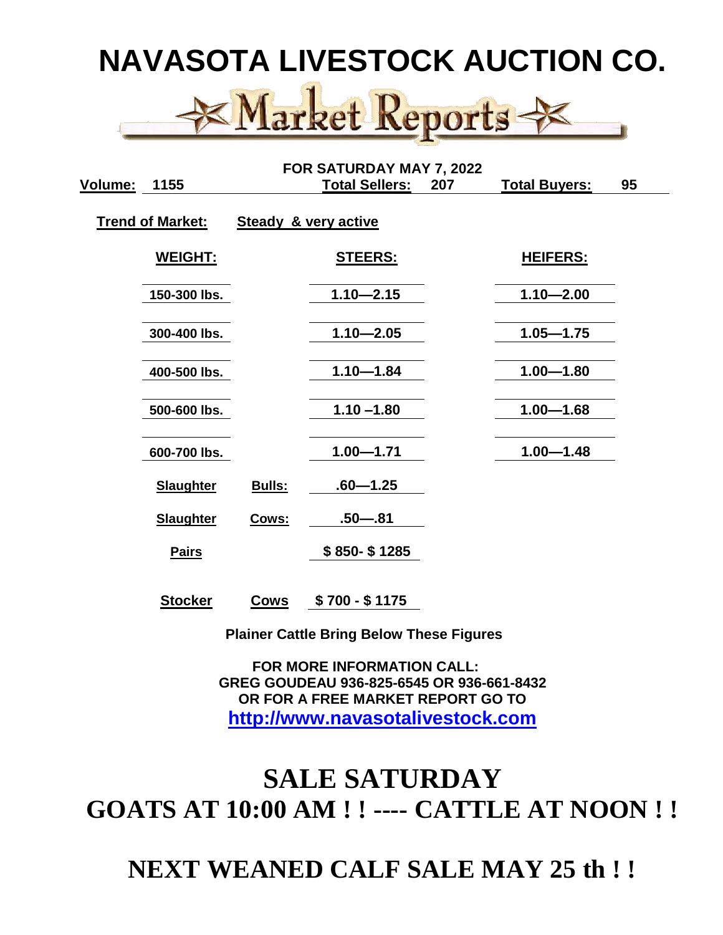

| FOR SATURDAY MAY 7, 2022 |                  |             |                                 |     |                      |    |  |
|--------------------------|------------------|-------------|---------------------------------|-----|----------------------|----|--|
| Volume:                  | 1155             |             | <b>Total Sellers:</b>           | 207 | <b>Total Buyers:</b> | 95 |  |
| <b>Trend of Market:</b>  |                  |             | <b>Steady &amp; very active</b> |     |                      |    |  |
|                          | WEIGHT:          |             | <u>STEERS:</u>                  |     | <b>HEIFERS:</b>      |    |  |
|                          | 150-300 lbs.     |             | $1.10 - 2.15$                   |     | $1.10 - 2.00$        |    |  |
|                          | 300-400 lbs.     |             | $1.10 - 2.05$                   |     | $1.05 - 1.75$        |    |  |
|                          | 400-500 lbs.     |             | $1.10 - 1.84$                   |     | $1.00 - 1.80$        |    |  |
|                          | 500-600 lbs.     |             | $1.10 - 1.80$                   |     | $1.00 - 1.68$        |    |  |
|                          | 600-700 lbs.     |             | $1.00 - 1.71$                   |     | $1.00 - 1.48$        |    |  |
|                          | <b>Slaughter</b> | Bulls:      | $.60 - 1.25$                    |     |                      |    |  |
|                          | <b>Slaughter</b> | Cows:       | $.50 - .81$                     |     |                      |    |  |
|                          | <b>Pairs</b>     |             | \$850-\$1285                    |     |                      |    |  |
|                          | <b>Stocker</b>   | <b>Cows</b> | $$700 - $1175$                  |     |                      |    |  |

 **Plainer Cattle Bring Below These Figures**

 **FOR MORE INFORMATION CALL: GREG GOUDEAU 936-825-6545 OR 936-661-8432 OR FOR A FREE MARKET REPORT GO TO [http://www.navasotalivestock.com](http://www.navasotalivestock.com/)**

## **SALE SATURDAY GOATS AT 10:00 AM ! ! ---- CATTLE AT NOON ! !**

**NEXT WEANED CALF SALE MAY 25 th ! !**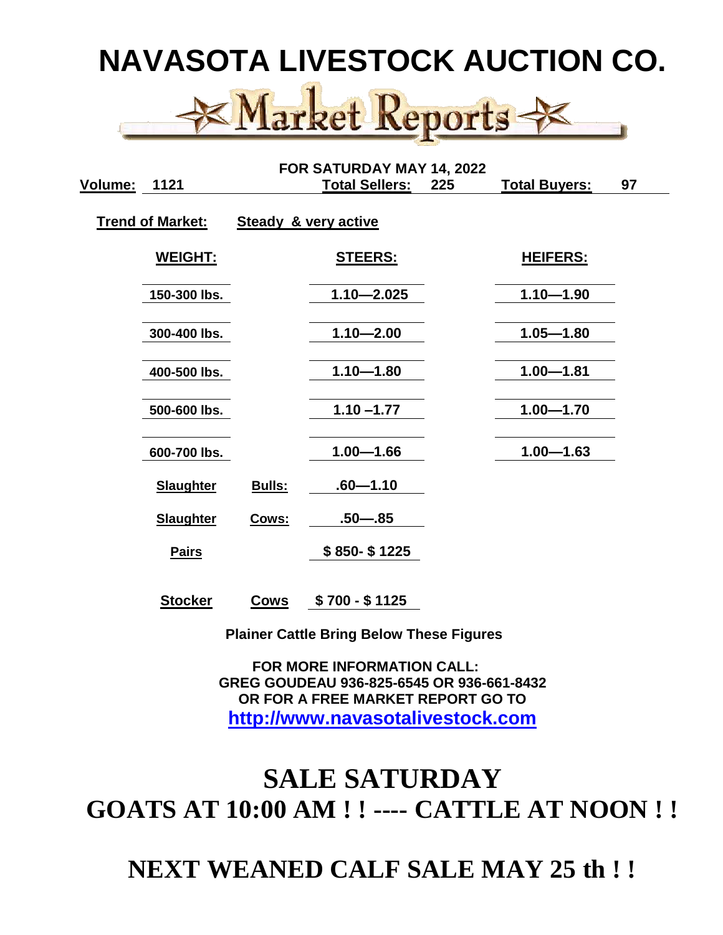

| FOR SATURDAY MAY 14, 2022 |                  |             |                                 |     |                      |    |  |
|---------------------------|------------------|-------------|---------------------------------|-----|----------------------|----|--|
| Volume:                   | 1121             |             | <b>Total Sellers:</b>           | 225 | <b>Total Buyers:</b> | 97 |  |
| <b>Trend of Market:</b>   |                  |             | <b>Steady &amp; very active</b> |     |                      |    |  |
|                           | WEIGHT:          |             | <u>STEERS:</u>                  |     | <b>HEIFERS:</b>      |    |  |
|                           | 150-300 lbs.     |             | $1.10 - 2.025$                  |     | $1.10 - 1.90$        |    |  |
|                           | 300-400 lbs.     |             | $1.10 - 2.00$                   |     | $1.05 - 1.80$        |    |  |
|                           | 400-500 lbs.     |             | $1.10 - 1.80$                   |     | $1.00 - 1.81$        |    |  |
|                           | 500-600 lbs.     |             | $1.10 - 1.77$                   |     | $1.00 - 1.70$        |    |  |
|                           | 600-700 lbs.     |             | $1.00 - 1.66$                   |     | $1.00 - 1.63$        |    |  |
|                           | <b>Slaughter</b> | Bulls:      | $.60 - 1.10$                    |     |                      |    |  |
|                           | <b>Slaughter</b> | Cows:       | $.50 - .85$                     |     |                      |    |  |
|                           | <b>Pairs</b>     |             | \$850-\$1225                    |     |                      |    |  |
|                           | <b>Stocker</b>   | <b>Cows</b> | $$700 - $1125$                  |     |                      |    |  |

 **Plainer Cattle Bring Below These Figures**

 **FOR MORE INFORMATION CALL: GREG GOUDEAU 936-825-6545 OR 936-661-8432 OR FOR A FREE MARKET REPORT GO TO [http://www.navasotalivestock.com](http://www.navasotalivestock.com/)**

## **SALE SATURDAY GOATS AT 10:00 AM ! ! ---- CATTLE AT NOON ! !**

**NEXT WEANED CALF SALE MAY 25 th ! !**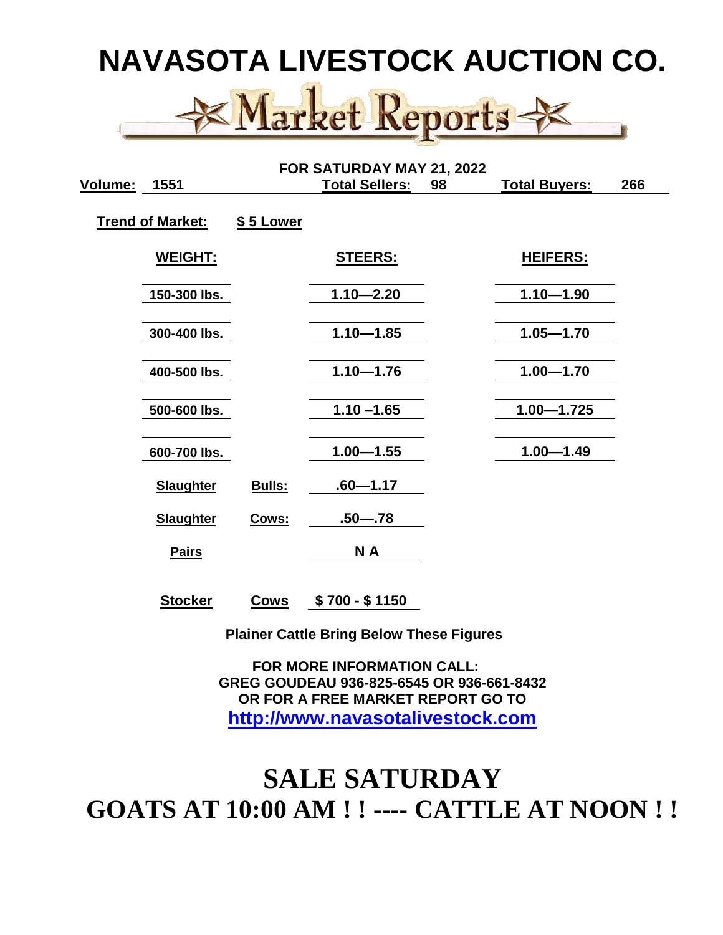

|         | FOR SATURDAY MAY 21, 2022 |           |                       |    |                      |     |  |
|---------|---------------------------|-----------|-----------------------|----|----------------------|-----|--|
| Volume: | 1551                      |           | <b>Total Sellers:</b> | 98 | <b>Total Buyers:</b> | 266 |  |
|         | <b>Trend of Market:</b>   | \$5 Lower |                       |    |                      |     |  |
|         | <b>WEIGHT:</b>            |           | <b>STEERS:</b>        |    | <b>HEIFERS:</b>      |     |  |
|         | 150-300 lbs.              |           | $1.10 - 2.20$         |    | $1.10 - 1.90$        |     |  |
|         | 300-400 lbs.              |           | $1.10 - 1.85$         |    | $1.05 - 1.70$        |     |  |
|         | 400-500 lbs.              |           | $1.10 - 1.76$         |    | $1.00 - 1.70$        |     |  |
|         | 500-600 lbs.              |           | $1.10 - 1.65$         |    | $1.00 - 1.725$       |     |  |
|         | 600-700 lbs.              |           | $1.00 - 1.55$         |    | $1.00 - 1.49$        |     |  |
|         | <b>Slaughter</b>          | Bulls:    | $.60 - 1.17$          |    |                      |     |  |
|         | <b>Slaughter</b>          | Cows:     | $.50 - .78$           |    |                      |     |  |
|         | <b>Pairs</b>              |           | N A                   |    |                      |     |  |
|         |                           |           |                       |    |                      |     |  |

**Stocker Cows \$ 700 - \$ 1150**

 **Plainer Cattle Bring Below These Figures**

 **FOR MORE INFORMATION CALL: GREG GOUDEAU 936-825-6545 OR 936-661-8432 OR FOR A FREE MARKET REPORT GO TO [http://www.navasotalivestock.com](http://www.navasotalivestock.com/)**

## **SALE SATURDAY GOATS AT 10:00 AM ! ! ---- CATTLE AT NOON ! !**